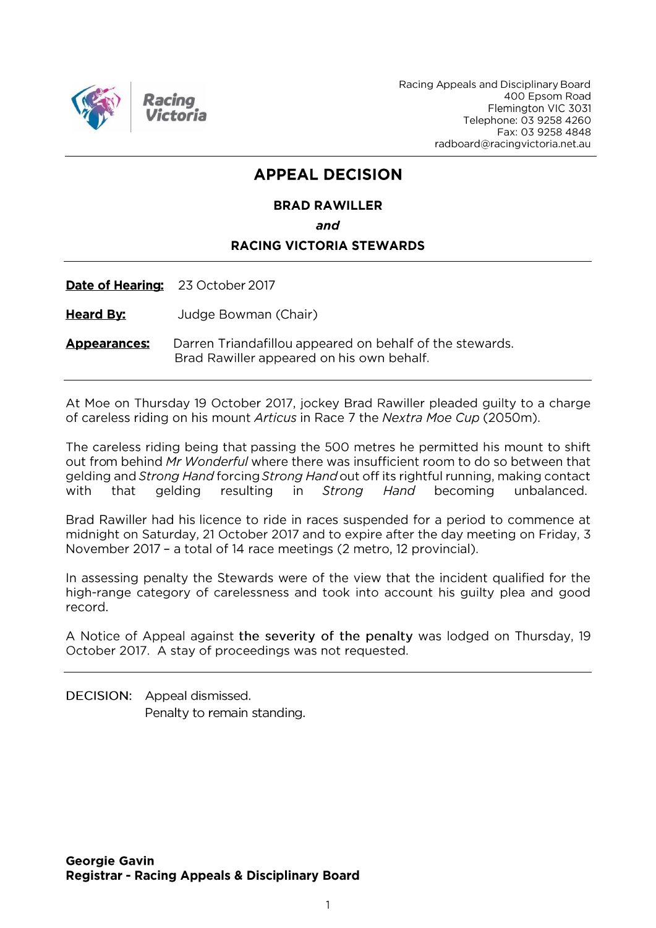

Racing Appeals and Disciplinary Board 400 Epsom Road Flemington VIC 3031 Telephone: 03 9258 4260 Fax: 03 9258 4848 radboard@racingvictoria.net.au

## **APPEAL DECISION**

### **BRAD RAWILLER** and **RACING VICTORIA STEWARDS**

Date of Hearing: 23 October 2017

**Heard By:** Judge Bowman (Chair)

Darren Triandafillou appeared on behalf of the stewards. **Appearances:** Brad Rawiller appeared on his own behalf.

At Moe on Thursday 19 October 2017, jockey Brad Rawiller pleaded guilty to a charge of careless riding on his mount Articus in Race 7 the Nextra Moe Cup (2050m).

The careless riding being that passing the 500 metres he permitted his mount to shift out from behind Mr Wonderful where there was insufficient room to do so between that gelding and Strong Hand forcing Strong Hand out off its rightful running, making contact resulting with that gelding in Strong Hand becoming unbalanced.

Brad Rawiller had his licence to ride in races suspended for a period to commence at midnight on Saturday, 21 October 2017 and to expire after the day meeting on Friday, 3 November 2017 - a total of 14 race meetings (2 metro, 12 provincial).

In assessing penalty the Stewards were of the view that the incident qualified for the high-range category of carelessness and took into account his guilty plea and good record.

A Notice of Appeal against the severity of the penalty was lodged on Thursday, 19 October 2017. A stay of proceedings was not requested.

DECISION: Appeal dismissed. Penalty to remain standing.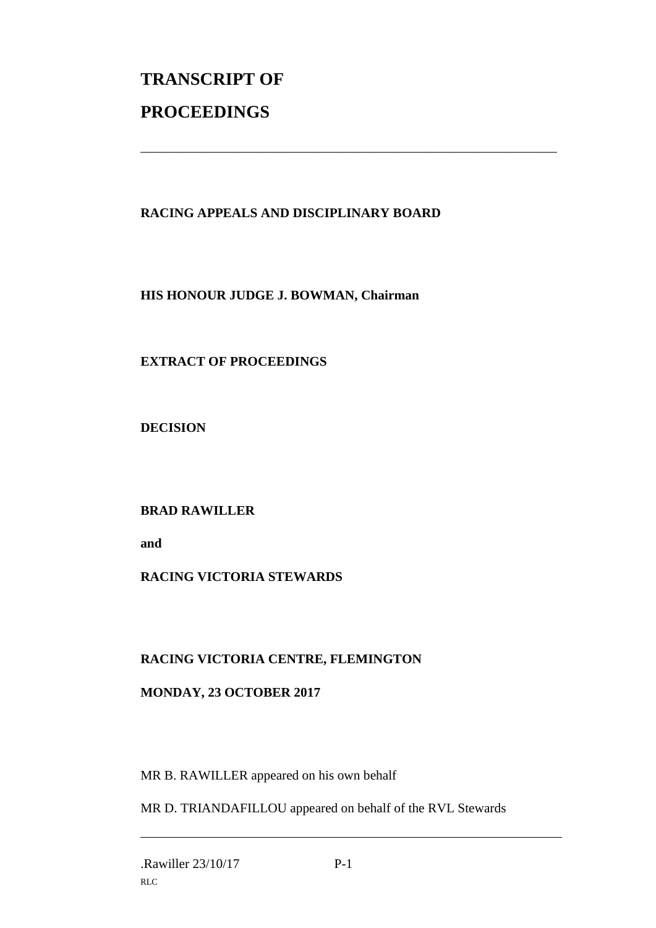# **TRANSCRIPT OF PROCEEDINGS**

#### **RACING APPEALS AND DISCIPLINARY BOARD**

\_\_\_\_\_\_\_\_\_\_\_\_\_\_\_\_\_\_\_\_\_\_\_\_\_\_\_\_\_\_\_\_\_\_\_\_\_\_\_\_\_\_\_\_\_\_\_\_\_\_\_\_\_\_\_\_\_\_\_\_\_\_\_

**HIS HONOUR JUDGE J. BOWMAN, Chairman**

#### **EXTRACT OF PROCEEDINGS**

**DECISION**

**BRAD RAWILLER**

**and**

#### **RACING VICTORIA STEWARDS**

#### **RACING VICTORIA CENTRE, FLEMINGTON**

#### **MONDAY, 23 OCTOBER 2017**

MR B. RAWILLER appeared on his own behalf

MR D. TRIANDAFILLOU appeared on behalf of the RVL Stewards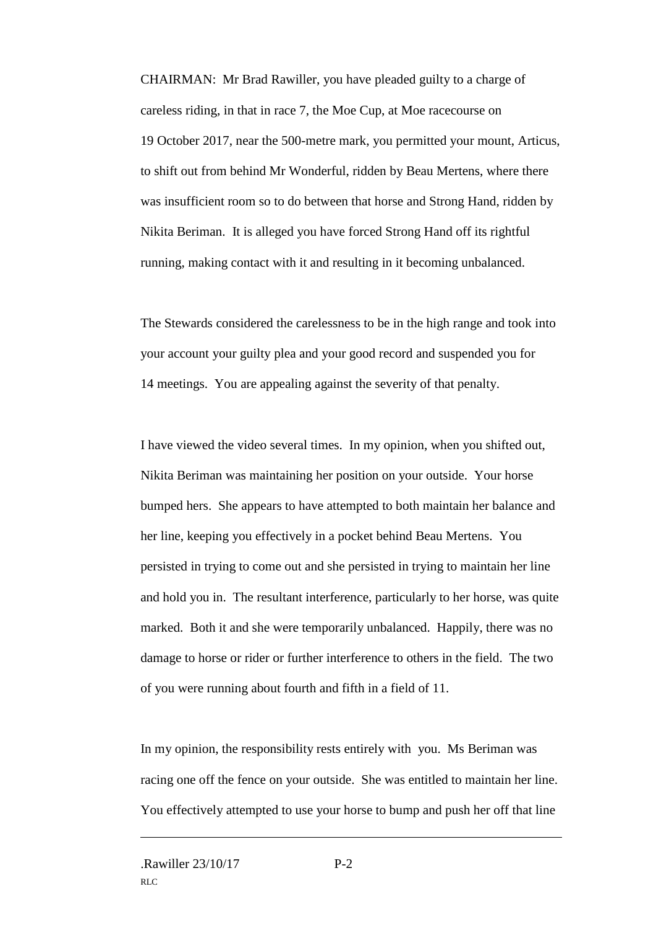CHAIRMAN: Mr Brad Rawiller, you have pleaded guilty to a charge of careless riding, in that in race 7, the Moe Cup, at Moe racecourse on 19 October 2017, near the 500-metre mark, you permitted your mount, Articus, to shift out from behind Mr Wonderful, ridden by Beau Mertens, where there was insufficient room so to do between that horse and Strong Hand, ridden by Nikita Beriman. It is alleged you have forced Strong Hand off its rightful running, making contact with it and resulting in it becoming unbalanced.

The Stewards considered the carelessness to be in the high range and took into your account your guilty plea and your good record and suspended you for 14 meetings. You are appealing against the severity of that penalty.

I have viewed the video several times. In my opinion, when you shifted out, Nikita Beriman was maintaining her position on your outside. Your horse bumped hers. She appears to have attempted to both maintain her balance and her line, keeping you effectively in a pocket behind Beau Mertens. You persisted in trying to come out and she persisted in trying to maintain her line and hold you in. The resultant interference, particularly to her horse, was quite marked. Both it and she were temporarily unbalanced. Happily, there was no damage to horse or rider or further interference to others in the field. The two of you were running about fourth and fifth in a field of 11.

In my opinion, the responsibility rests entirely with you. Ms Beriman was racing one off the fence on your outside. She was entitled to maintain her line. You effectively attempted to use your horse to bump and push her off that line